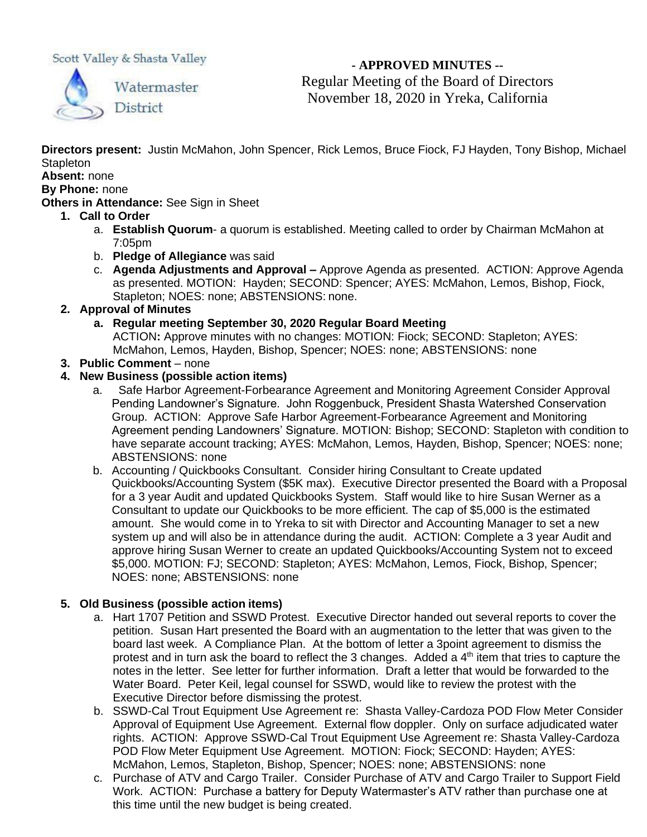Scott Valley & Shasta Valley



**- APPROVED MINUTES --** Regular Meeting of the Board of Directors November 18, 2020 in Yreka, California

**Directors present:** Justin McMahon, John Spencer, Rick Lemos, Bruce Fiock, FJ Hayden, Tony Bishop, Michael **Stapleton** 

# **Absent:** none

# **By Phone:** none

**Others in Attendance:** See Sign in Sheet

- **1. Call to Order**
	- a. **Establish Quorum** a quorum is established. Meeting called to order by Chairman McMahon at 7:05pm
	- b. **Pledge of Allegiance** was said
	- c. **Agenda Adjustments and Approval –** Approve Agenda as presented. ACTION: Approve Agenda as presented. MOTION: Hayden; SECOND: Spencer; AYES: McMahon, Lemos, Bishop, Fiock, Stapleton; NOES: none; ABSTENSIONS: none.
- **2. Approval of Minutes**
	- **a. Regular meeting September 30, 2020 Regular Board Meeting**

ACTION**:** Approve minutes with no changes: MOTION: Fiock; SECOND: Stapleton; AYES: McMahon, Lemos, Hayden, Bishop, Spencer; NOES: none; ABSTENSIONS: none

**3. Public Comment** – none

### **4. New Business (possible action items)**

- a. Safe Harbor Agreement-Forbearance Agreement and Monitoring Agreement Consider Approval Pending Landowner's Signature. John Roggenbuck, President Shasta Watershed Conservation Group. ACTION: Approve Safe Harbor Agreement-Forbearance Agreement and Monitoring Agreement pending Landowners' Signature. MOTION: Bishop; SECOND: Stapleton with condition to have separate account tracking; AYES: McMahon, Lemos, Hayden, Bishop, Spencer; NOES: none; ABSTENSIONS: none
- b. Accounting / Quickbooks Consultant. Consider hiring Consultant to Create updated Quickbooks/Accounting System (\$5K max). Executive Director presented the Board with a Proposal for a 3 year Audit and updated Quickbooks System. Staff would like to hire Susan Werner as a Consultant to update our Quickbooks to be more efficient. The cap of \$5,000 is the estimated amount. She would come in to Yreka to sit with Director and Accounting Manager to set a new system up and will also be in attendance during the audit. ACTION: Complete a 3 year Audit and approve hiring Susan Werner to create an updated Quickbooks/Accounting System not to exceed \$5,000. MOTION: FJ; SECOND: Stapleton; AYES: McMahon, Lemos, Fiock, Bishop, Spencer; NOES: none; ABSTENSIONS: none

# **5. Old Business (possible action items)**

- a. Hart 1707 Petition and SSWD Protest. Executive Director handed out several reports to cover the petition. Susan Hart presented the Board with an augmentation to the letter that was given to the board last week. A Compliance Plan. At the bottom of letter a 3point agreement to dismiss the protest and in turn ask the board to reflect the 3 changes. Added a  $4<sup>th</sup>$  item that tries to capture the notes in the letter. See letter for further information. Draft a letter that would be forwarded to the Water Board. Peter Keil, legal counsel for SSWD, would like to review the protest with the Executive Director before dismissing the protest.
- b. SSWD-Cal Trout Equipment Use Agreement re: Shasta Valley-Cardoza POD Flow Meter Consider Approval of Equipment Use Agreement. External flow doppler. Only on surface adjudicated water rights. ACTION: Approve SSWD-Cal Trout Equipment Use Agreement re: Shasta Valley-Cardoza POD Flow Meter Equipment Use Agreement. MOTION: Fiock; SECOND: Hayden; AYES: McMahon, Lemos, Stapleton, Bishop, Spencer; NOES: none; ABSTENSIONS: none
- c. Purchase of ATV and Cargo Trailer. Consider Purchase of ATV and Cargo Trailer to Support Field Work. ACTION: Purchase a battery for Deputy Watermaster's ATV rather than purchase one at this time until the new budget is being created.